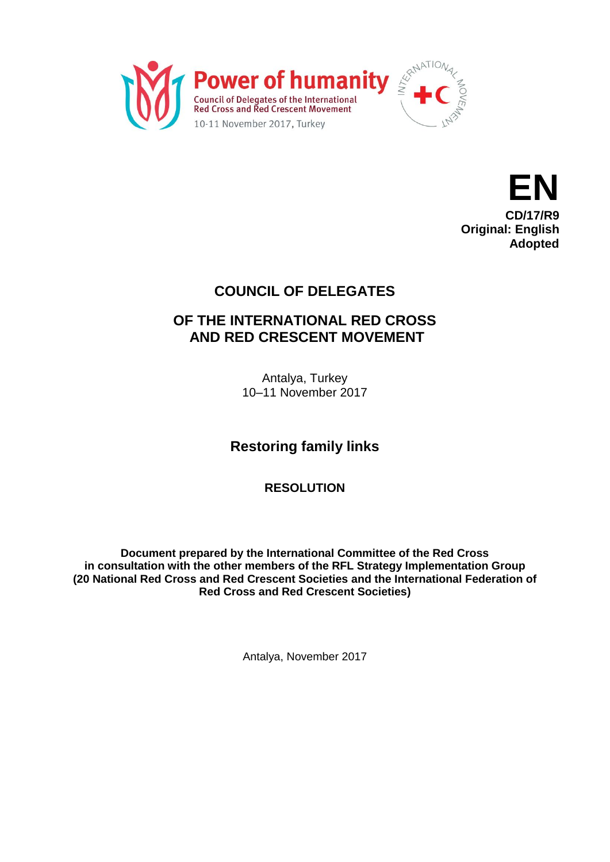



## **COUNCIL OF DELEGATES**

## **OF THE INTERNATIONAL RED CROSS AND RED CRESCENT MOVEMENT**

Antalya, Turkey 10–11 November 2017

**Restoring family links**

**RESOLUTION**

**Document prepared by the International Committee of the Red Cross in consultation with the other members of the RFL Strategy Implementation Group (20 National Red Cross and Red Crescent Societies and the International Federation of Red Cross and Red Crescent Societies)**

Antalya, November 2017